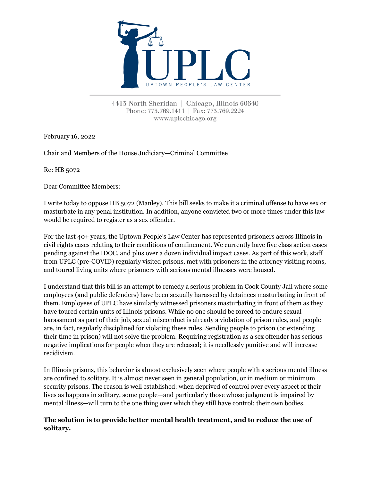

4413 North Sheridan | Chicago, Illinois 60640 Phone: 773.769.1411 | Fax: 773.769.2224 www.uplcchicago.org

February 16, 2022

Chair and Members of the House Judiciary—Criminal Committee

Re: HB 5072

Dear Committee Members:

I write today to oppose HB 5072 (Manley). This bill seeks to make it a criminal offense to have sex or masturbate in any penal institution. In addition, anyone convicted two or more times under this law would be required to register as a sex offender.

For the last 40+ years, the Uptown People's Law Center has represented prisoners across Illinois in civil rights cases relating to their conditions of confinement. We currently have five class action cases pending against the IDOC, and plus over a dozen individual impact cases. As part of this work, staff from UPLC (pre-COVID) regularly visited prisons, met with prisoners in the attorney visiting rooms, and toured living units where prisoners with serious mental illnesses were housed.

I understand that this bill is an attempt to remedy a serious problem in Cook County Jail where some employees (and public defenders) have been sexually harassed by detainees masturbating in front of them. Employees of UPLC have similarly witnessed prisoners masturbating in front of them as they have toured certain units of Illinois prisons. While no one should be forced to endure sexual harassment as part of their job, sexual misconduct is already a violation of prison rules, and people are, in fact, regularly disciplined for violating these rules. Sending people to prison (or extending their time in prison) will not solve the problem. Requiring registration as a sex offender has serious negative implications for people when they are released; it is needlessly punitive and will increase recidivism.

In Illinois prisons, this behavior is almost exclusively seen where people with a serious mental illness are confined to solitary. It is almost never seen in general population, or in medium or minimum security prisons. The reason is well established: when deprived of control over every aspect of their lives as happens in solitary, some people—and particularly those whose judgment is impaired by mental illness—will turn to the one thing over which they still have control: their own bodies.

## **The solution is to provide better mental health treatment, and to reduce the use of solitary.**